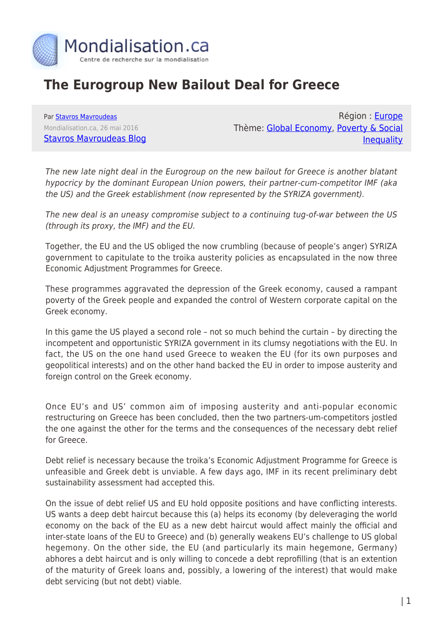

## **The Eurogroup New Bailout Deal for Greece**

Par [Stavros Mavroudeas](https://www.mondialisation.ca/author/stavros-mavroudeas) Mondialisation.ca, 26 mai 2016 [Stavros Mavroudeas Blog](https://stavrosmavroudeas.wordpress.com/2016/05/26/s-mavroudeas-intervention-in-tv-press-news-25th-may-2016-on-the-bailout-deal-for-greee/)

Région : [Europe](https://www.mondialisation.ca/region/europe) Thème: [Global Economy](https://www.mondialisation.ca/theme/global-economy), [Poverty & Social](https://www.mondialisation.ca/theme/poverty-social-inequality) **[Inequality](https://www.mondialisation.ca/theme/poverty-social-inequality)** 

The new late night deal in the Eurogroup on the new bailout for Greece is another blatant hypocricy by the dominant European Union powers, their partner-cum-competitor IMF (aka the US) and the Greek establishment (now represented by the SYRIZA government).

The new deal is an uneasy compromise subject to a continuing tug-of-war between the US (through its proxy, the IMF) and the EU.

Together, the EU and the US obliged the now crumbling (because of people's anger) SYRIZA government to capitulate to the troika austerity policies as encapsulated in the now three Economic Adjustment Programmes for Greece.

These programmes aggravated the depression of the Greek economy, caused a rampant poverty of the Greek people and expanded the control of Western corporate capital on the Greek economy.

In this game the US played a second role – not so much behind the curtain – by directing the incompetent and opportunistic SYRIZA government in its clumsy negotiations with the EU. In fact, the US on the one hand used Greece to weaken the EU (for its own purposes and geopolitical interests) and on the other hand backed the EU in order to impose austerity and foreign control on the Greek economy.

Once EU's and US' common aim of imposing austerity and anti-popular economic restructuring on Greece has been concluded, then the two partners-um-competitors jostled the one against the other for the terms and the consequences of the necessary debt relief for Greece.

Debt relief is necessary because the troika's Economic Adjustment Programme for Greece is unfeasible and Greek debt is unviable. A few days ago, IMF in its recent preliminary debt sustainability assessment had accepted this.

On the issue of debt relief US and EU hold opposite positions and have conflicting interests. US wants a deep debt haircut because this (a) helps its economy (by deleveraging the world economy on the back of the EU as a new debt haircut would affect mainly the official and inter-state loans of the EU to Greece) and (b) generally weakens EU's challenge to US global hegemony. On the other side, the EU (and particularly its main hegemone, Germany) abhores a debt haircut and is only willing to concede a debt reprofilling (that is an extention of the maturity of Greek loans and, possibly, a lowering of the interest) that would make debt servicing (but not debt) viable.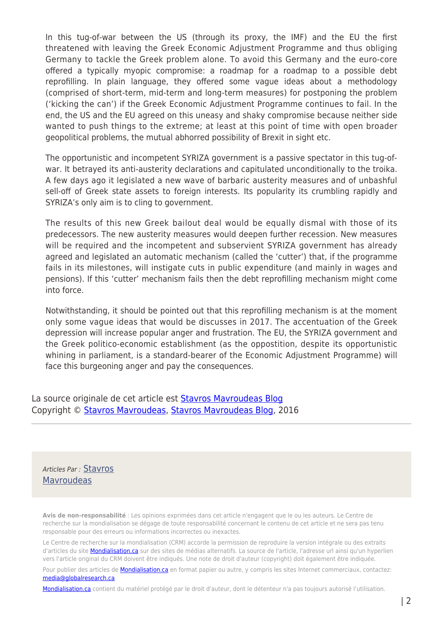In this tug-of-war between the US (through its proxy, the IMF) and the EU the first threatened with leaving the Greek Economic Adjustment Programme and thus obliging Germany to tackle the Greek problem alone. To avoid this Germany and the euro-core offered a typically myopic compromise: a roadmap for a roadmap to a possible debt reprofilling. In plain language, they offered some vague ideas about a methodology (comprised of short-term, mid-term and long-term measures) for postponing the problem ('kicking the can') if the Greek Economic Adjustment Programme continues to fail. In the end, the US and the EU agreed on this uneasy and shaky compromise because neither side wanted to push things to the extreme; at least at this point of time with open broader geopolitical problems, the mutual abhorred possibility of Brexit in sight etc.

The opportunistic and incompetent SYRIZA government is a passive spectator in this tug-ofwar. It betrayed its anti-austerity declarations and capitulated unconditionally to the troika. A few days ago it legislated a new wave of barbaric austerity measures and of unbashful sell-off of Greek state assets to foreign interests. Its popularity its crumbling rapidly and SYRIZA's only aim is to cling to government.

The results of this new Greek bailout deal would be equally dismal with those of its predecessors. The new austerity measures would deepen further recession. New measures will be required and the incompetent and subservient SYRIZA government has already agreed and legislated an automatic mechanism (called the 'cutter') that, if the programme fails in its milestones, will instigate cuts in public expenditure (and mainly in wages and pensions). If this 'cutter' mechanism fails then the debt reprofilling mechanism might come into force.

Notwithstanding, it should be pointed out that this reprofilling mechanism is at the moment only some vague ideas that would be discusses in 2017. The accentuation of the Greek depression will increase popular anger and frustration. The EU, the SYRIZA government and the Greek politico-economic establishment (as the oppostition, despite its opportunistic whining in parliament, is a standard-bearer of the Economic Adjustment Programme) will face this burgeoning anger and pay the consequences.

La source originale de cet article est **[Stavros Mavroudeas Blog](https://stavrosmavroudeas.wordpress.com/2016/05/26/s-mavroudeas-intervention-in-tv-press-news-25th-may-2016-on-the-bailout-deal-for-greee/)** Copyright © [Stavros Mavroudeas](https://www.mondialisation.ca/author/stavros-mavroudeas), [Stavros Mavroudeas Blog](https://stavrosmavroudeas.wordpress.com/2016/05/26/s-mavroudeas-intervention-in-tv-press-news-25th-may-2016-on-the-bailout-deal-for-greee/), 2016

Articles Par : [Stavros](https://www.mondialisation.ca/author/stavros-mavroudeas) **[Mavroudeas](https://www.mondialisation.ca/author/stavros-mavroudeas)** 

**Avis de non-responsabilité** : Les opinions exprimées dans cet article n'engagent que le ou les auteurs. Le Centre de recherche sur la mondialisation se dégage de toute responsabilité concernant le contenu de cet article et ne sera pas tenu responsable pour des erreurs ou informations incorrectes ou inexactes.

Le Centre de recherche sur la mondialisation (CRM) accorde la permission de reproduire la version intégrale ou des extraits d'articles du site [Mondialisation.ca](https://mondialisation.ca) sur des sites de médias alternatifs. La source de l'article, l'adresse url ainsi qu'un hyperlien vers l'article original du CRM doivent être indiqués. Une note de droit d'auteur (copyright) doit également être indiquée.

Pour publier des articles de [Mondialisation.ca](https://mondialisation.ca) en format papier ou autre, y compris les sites Internet commerciaux, contactez: [media@globalresearch.ca](mailto:media@globalresearch.ca)

[Mondialisation.ca](https://mondialisation.ca) contient du matériel protégé par le droit d'auteur, dont le détenteur n'a pas toujours autorisé l'utilisation.